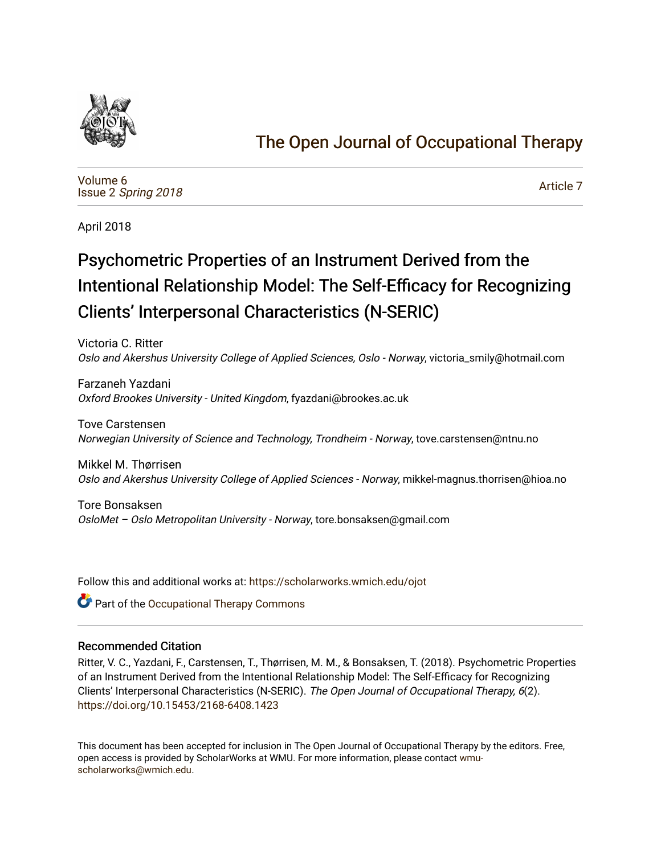

# [The Open Journal of Occupational Therapy](https://scholarworks.wmich.edu/ojot)

[Volume 6](https://scholarworks.wmich.edu/ojot/vol6) Issue 2 [Spring 2018](https://scholarworks.wmich.edu/ojot/vol6/iss2) 

[Article 7](https://scholarworks.wmich.edu/ojot/vol6/iss2/7) 

April 2018

# Psychometric Properties of an Instrument Derived from the Intentional Relationship Model: The Self-Efficacy for Recognizing Clients' Interpersonal Characteristics (N-SERIC)

Victoria C. Ritter Oslo and Akershus University College of Applied Sciences, Oslo - Norway, victoria\_smily@hotmail.com

Farzaneh Yazdani Oxford Brookes University - United Kingdom, fyazdani@brookes.ac.uk

Tove Carstensen Norwegian University of Science and Technology, Trondheim - Norway, tove.carstensen@ntnu.no

Mikkel M. Thørrisen Oslo and Akershus University College of Applied Sciences - Norway, mikkel-magnus.thorrisen@hioa.no

Tore Bonsaksen OsloMet – Oslo Metropolitan University - Norway, tore.bonsaksen@gmail.com

Follow this and additional works at: [https://scholarworks.wmich.edu/ojot](https://scholarworks.wmich.edu/ojot?utm_source=scholarworks.wmich.edu%2Fojot%2Fvol6%2Fiss2%2F7&utm_medium=PDF&utm_campaign=PDFCoverPages)

**C** Part of the Occupational Therapy Commons

### Recommended Citation

Ritter, V. C., Yazdani, F., Carstensen, T., Thørrisen, M. M., & Bonsaksen, T. (2018). Psychometric Properties of an Instrument Derived from the Intentional Relationship Model: The Self-Efficacy for Recognizing Clients' Interpersonal Characteristics (N-SERIC). The Open Journal of Occupational Therapy, 6(2). <https://doi.org/10.15453/2168-6408.1423>

This document has been accepted for inclusion in The Open Journal of Occupational Therapy by the editors. Free, open access is provided by ScholarWorks at WMU. For more information, please contact [wmu](mailto:wmu-scholarworks@wmich.edu)[scholarworks@wmich.edu.](mailto:wmu-scholarworks@wmich.edu)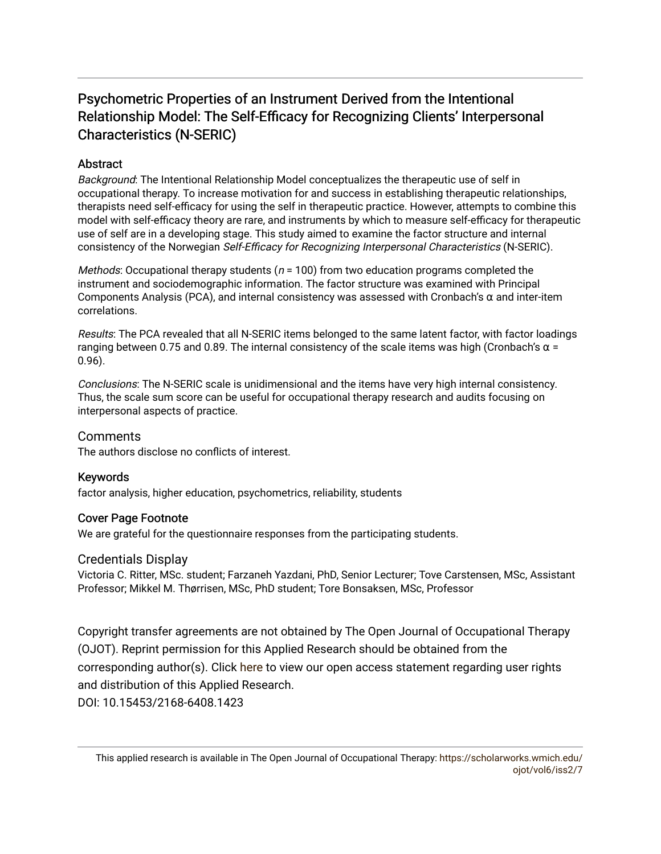# Psychometric Properties of an Instrument Derived from the Intentional Relationship Model: The Self-Efficacy for Recognizing Clients' Interpersonal Characteristics (N-SERIC)

## **Abstract**

Background: The Intentional Relationship Model conceptualizes the therapeutic use of self in occupational therapy. To increase motivation for and success in establishing therapeutic relationships, therapists need self-efficacy for using the self in therapeutic practice. However, attempts to combine this model with self-efficacy theory are rare, and instruments by which to measure self-efficacy for therapeutic use of self are in a developing stage. This study aimed to examine the factor structure and internal consistency of the Norwegian Self-Efficacy for Recognizing Interpersonal Characteristics (N-SERIC).

*Methods:* Occupational therapy students ( $n = 100$ ) from two education programs completed the instrument and sociodemographic information. The factor structure was examined with Principal Components Analysis (PCA), and internal consistency was assessed with Cronbach's α and inter-item correlations.

Results: The PCA revealed that all N-SERIC items belonged to the same latent factor, with factor loadings ranging between 0.75 and 0.89. The internal consistency of the scale items was high (Cronbach's α = 0.96).

Conclusions: The N-SERIC scale is unidimensional and the items have very high internal consistency. Thus, the scale sum score can be useful for occupational therapy research and audits focusing on interpersonal aspects of practice.

### **Comments**

The authors disclose no conflicts of interest.

#### Keywords

factor analysis, higher education, psychometrics, reliability, students

#### Cover Page Footnote

We are grateful for the questionnaire responses from the participating students.

### Credentials Display

Victoria C. Ritter, MSc. student; Farzaneh Yazdani, PhD, Senior Lecturer; Tove Carstensen, MSc, Assistant Professor; Mikkel M. Thørrisen, MSc, PhD student; Tore Bonsaksen, MSc, Professor

Copyright transfer agreements are not obtained by The Open Journal of Occupational Therapy (OJOT). Reprint permission for this Applied Research should be obtained from the corresponding author(s). Click [here](https://scholarworks.wmich.edu/ojot/policies.html#rights) to view our open access statement regarding user rights and distribution of this Applied Research.

DOI: 10.15453/2168-6408.1423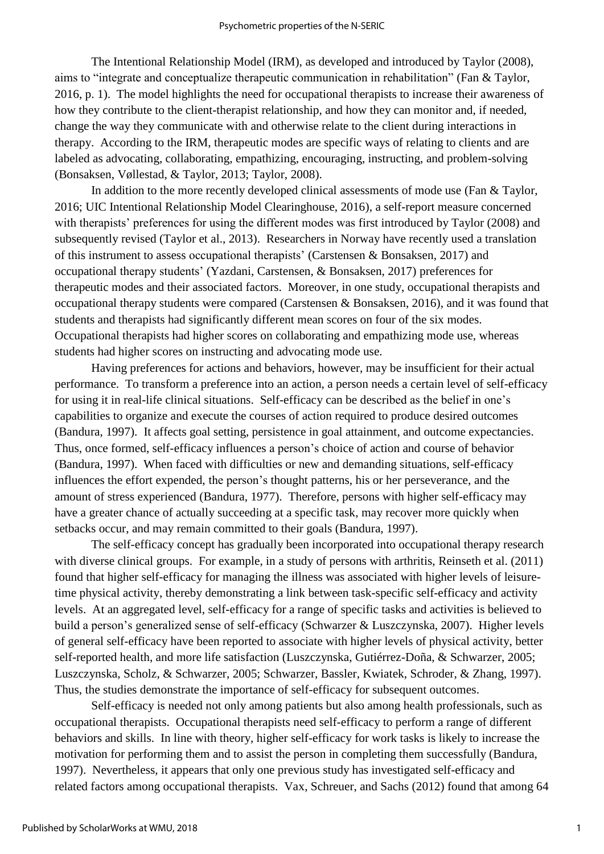The Intentional Relationship Model (IRM), as developed and introduced by Taylor (2008), aims to "integrate and conceptualize therapeutic communication in rehabilitation" (Fan & Taylor, 2016, p. 1). The model highlights the need for occupational therapists to increase their awareness of how they contribute to the client-therapist relationship, and how they can monitor and, if needed, change the way they communicate with and otherwise relate to the client during interactions in therapy. According to the IRM, therapeutic modes are specific ways of relating to clients and are labeled as advocating, collaborating, empathizing, encouraging, instructing, and problem-solving (Bonsaksen, Vøllestad, & Taylor, 2013; Taylor, 2008).

In addition to the more recently developed clinical assessments of mode use (Fan & Taylor, 2016; UIC Intentional Relationship Model Clearinghouse, 2016), a self-report measure concerned with therapists' preferences for using the different modes was first introduced by Taylor (2008) and subsequently revised (Taylor et al., 2013). Researchers in Norway have recently used a translation of this instrument to assess occupational therapists' (Carstensen & Bonsaksen, 2017) and occupational therapy students' (Yazdani, Carstensen, & Bonsaksen, 2017) preferences for therapeutic modes and their associated factors. Moreover, in one study, occupational therapists and occupational therapy students were compared (Carstensen & Bonsaksen, 2016), and it was found that students and therapists had significantly different mean scores on four of the six modes. Occupational therapists had higher scores on collaborating and empathizing mode use, whereas students had higher scores on instructing and advocating mode use.

Having preferences for actions and behaviors, however, may be insufficient for their actual performance. To transform a preference into an action, a person needs a certain level of self-efficacy for using it in real-life clinical situations. Self-efficacy can be described as the belief in one's capabilities to organize and execute the courses of action required to produce desired outcomes (Bandura, 1997). It affects goal setting, persistence in goal attainment, and outcome expectancies. Thus, once formed, self-efficacy influences a person's choice of action and course of behavior (Bandura, 1997). When faced with difficulties or new and demanding situations, self-efficacy influences the effort expended, the person's thought patterns, his or her perseverance, and the amount of stress experienced (Bandura, 1977). Therefore, persons with higher self-efficacy may have a greater chance of actually succeeding at a specific task, may recover more quickly when setbacks occur, and may remain committed to their goals (Bandura, 1997).

The self-efficacy concept has gradually been incorporated into occupational therapy research with diverse clinical groups. For example, in a study of persons with arthritis, Reinseth et al. (2011) found that higher self-efficacy for managing the illness was associated with higher levels of leisuretime physical activity, thereby demonstrating a link between task-specific self-efficacy and activity levels. At an aggregated level, self-efficacy for a range of specific tasks and activities is believed to build a person's generalized sense of self-efficacy (Schwarzer & Luszczynska, 2007). Higher levels of general self-efficacy have been reported to associate with higher levels of physical activity, better self-reported health, and more life satisfaction (Luszczynska, Gutiérrez-Doña, & Schwarzer, 2005; Luszczynska, Scholz, & Schwarzer, 2005; Schwarzer, Bassler, Kwiatek, Schroder, & Zhang, 1997). Thus, the studies demonstrate the importance of self-efficacy for subsequent outcomes.

Self-efficacy is needed not only among patients but also among health professionals, such as occupational therapists. Occupational therapists need self-efficacy to perform a range of different behaviors and skills. In line with theory, higher self-efficacy for work tasks is likely to increase the motivation for performing them and to assist the person in completing them successfully (Bandura, 1997). Nevertheless, it appears that only one previous study has investigated self-efficacy and related factors among occupational therapists. Vax, Schreuer, and Sachs (2012) found that among 64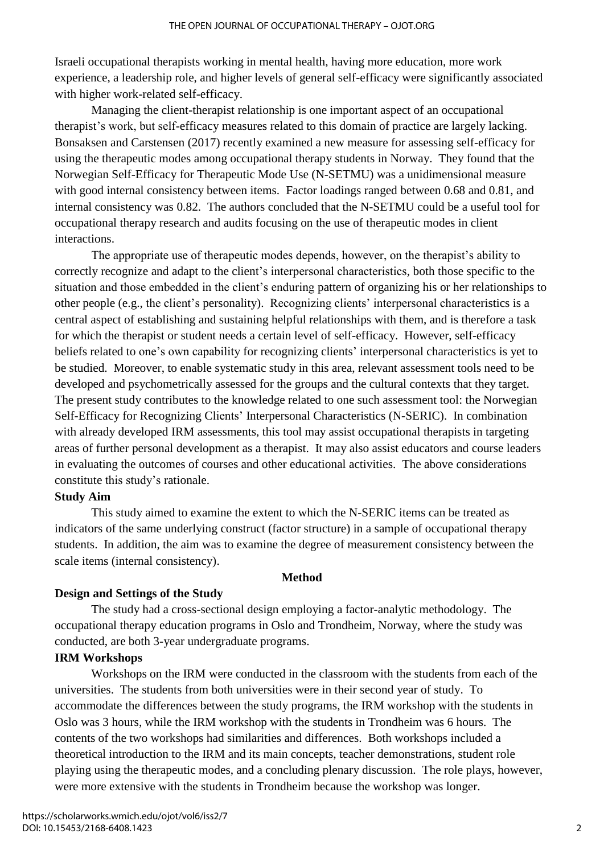Israeli occupational therapists working in mental health, having more education, more work experience, a leadership role, and higher levels of general self-efficacy were significantly associated with higher work-related self-efficacy.

Managing the client-therapist relationship is one important aspect of an occupational therapist's work, but self-efficacy measures related to this domain of practice are largely lacking. Bonsaksen and Carstensen (2017) recently examined a new measure for assessing self-efficacy for using the therapeutic modes among occupational therapy students in Norway. They found that the Norwegian Self-Efficacy for Therapeutic Mode Use (N-SETMU) was a unidimensional measure with good internal consistency between items. Factor loadings ranged between 0.68 and 0.81, and internal consistency was 0.82. The authors concluded that the N-SETMU could be a useful tool for occupational therapy research and audits focusing on the use of therapeutic modes in client interactions.

The appropriate use of therapeutic modes depends, however, on the therapist's ability to correctly recognize and adapt to the client's interpersonal characteristics, both those specific to the situation and those embedded in the client's enduring pattern of organizing his or her relationships to other people (e.g., the client's personality). Recognizing clients' interpersonal characteristics is a central aspect of establishing and sustaining helpful relationships with them, and is therefore a task for which the therapist or student needs a certain level of self-efficacy. However, self-efficacy beliefs related to one's own capability for recognizing clients' interpersonal characteristics is yet to be studied. Moreover, to enable systematic study in this area, relevant assessment tools need to be developed and psychometrically assessed for the groups and the cultural contexts that they target. The present study contributes to the knowledge related to one such assessment tool: the Norwegian Self-Efficacy for Recognizing Clients' Interpersonal Characteristics (N-SERIC). In combination with already developed IRM assessments, this tool may assist occupational therapists in targeting areas of further personal development as a therapist. It may also assist educators and course leaders in evaluating the outcomes of courses and other educational activities. The above considerations constitute this study's rationale.

## **Study Aim**

This study aimed to examine the extent to which the N-SERIC items can be treated as indicators of the same underlying construct (factor structure) in a sample of occupational therapy students. In addition, the aim was to examine the degree of measurement consistency between the scale items (internal consistency).

#### **Method**

### **Design and Settings of the Study**

The study had a cross-sectional design employing a factor-analytic methodology. The occupational therapy education programs in Oslo and Trondheim, Norway, where the study was conducted, are both 3-year undergraduate programs.

### **IRM Workshops**

Workshops on the IRM were conducted in the classroom with the students from each of the universities. The students from both universities were in their second year of study. To accommodate the differences between the study programs, the IRM workshop with the students in Oslo was 3 hours, while the IRM workshop with the students in Trondheim was 6 hours. The contents of the two workshops had similarities and differences. Both workshops included a theoretical introduction to the IRM and its main concepts, teacher demonstrations, student role playing using the therapeutic modes, and a concluding plenary discussion. The role plays, however, were more extensive with the students in Trondheim because the workshop was longer.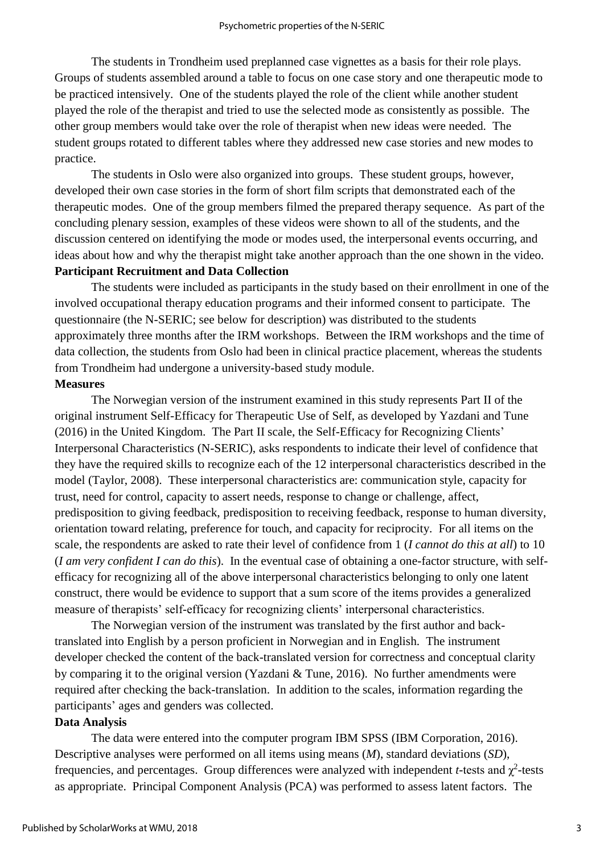The students in Trondheim used preplanned case vignettes as a basis for their role plays. Groups of students assembled around a table to focus on one case story and one therapeutic mode to be practiced intensively. One of the students played the role of the client while another student played the role of the therapist and tried to use the selected mode as consistently as possible. The other group members would take over the role of therapist when new ideas were needed. The student groups rotated to different tables where they addressed new case stories and new modes to practice.

The students in Oslo were also organized into groups. These student groups, however, developed their own case stories in the form of short film scripts that demonstrated each of the therapeutic modes. One of the group members filmed the prepared therapy sequence. As part of the concluding plenary session, examples of these videos were shown to all of the students, and the discussion centered on identifying the mode or modes used, the interpersonal events occurring, and ideas about how and why the therapist might take another approach than the one shown in the video.

## **Participant Recruitment and Data Collection**

The students were included as participants in the study based on their enrollment in one of the involved occupational therapy education programs and their informed consent to participate. The questionnaire (the N-SERIC; see below for description) was distributed to the students approximately three months after the IRM workshops. Between the IRM workshops and the time of data collection, the students from Oslo had been in clinical practice placement, whereas the students from Trondheim had undergone a university-based study module.

## **Measures**

The Norwegian version of the instrument examined in this study represents Part II of the original instrument Self-Efficacy for Therapeutic Use of Self, as developed by Yazdani and Tune (2016) in the United Kingdom. The Part II scale, the Self-Efficacy for Recognizing Clients' Interpersonal Characteristics (N-SERIC), asks respondents to indicate their level of confidence that they have the required skills to recognize each of the 12 interpersonal characteristics described in the model (Taylor, 2008). These interpersonal characteristics are: communication style, capacity for trust, need for control, capacity to assert needs, response to change or challenge, affect, predisposition to giving feedback, predisposition to receiving feedback, response to human diversity, orientation toward relating, preference for touch, and capacity for reciprocity. For all items on the scale, the respondents are asked to rate their level of confidence from 1 (*I cannot do this at all*) to 10 (*I am very confident I can do this*). In the eventual case of obtaining a one-factor structure, with selfefficacy for recognizing all of the above interpersonal characteristics belonging to only one latent construct, there would be evidence to support that a sum score of the items provides a generalized measure of therapists' self-efficacy for recognizing clients' interpersonal characteristics.

The Norwegian version of the instrument was translated by the first author and backtranslated into English by a person proficient in Norwegian and in English. The instrument developer checked the content of the back-translated version for correctness and conceptual clarity by comparing it to the original version (Yazdani & Tune, 2016). No further amendments were required after checking the back-translation. In addition to the scales, information regarding the participants' ages and genders was collected.

#### **Data Analysis**

The data were entered into the computer program IBM SPSS (IBM Corporation, 2016). Descriptive analyses were performed on all items using means (*M*), standard deviations (*SD*), frequencies, and percentages. Group differences were analyzed with independent *t*-tests and  $\chi^2$ -tests as appropriate. Principal Component Analysis (PCA) was performed to assess latent factors. The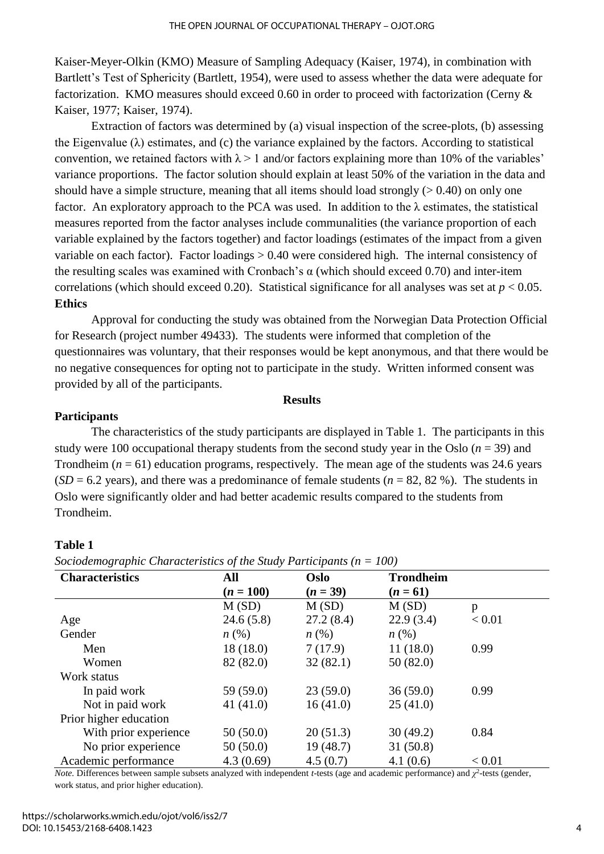Kaiser-Meyer-Olkin (KMO) Measure of Sampling Adequacy (Kaiser, 1974), in combination with Bartlett's Test of Sphericity (Bartlett, 1954), were used to assess whether the data were adequate for factorization. KMO measures should exceed 0.60 in order to proceed with factorization (Cerny & Kaiser, 1977; Kaiser, 1974).

Extraction of factors was determined by (a) visual inspection of the scree-plots, (b) assessing the Eigenvalue  $(\lambda)$  estimates, and  $(c)$  the variance explained by the factors. According to statistical convention, we retained factors with  $\lambda > 1$  and/or factors explaining more than 10% of the variables' variance proportions. The factor solution should explain at least 50% of the variation in the data and should have a simple structure, meaning that all items should load strongly  $(> 0.40)$  on only one factor. An exploratory approach to the PCA was used. In addition to the  $\lambda$  estimates, the statistical measures reported from the factor analyses include communalities (the variance proportion of each variable explained by the factors together) and factor loadings (estimates of the impact from a given variable on each factor). Factor loadings > 0.40 were considered high. The internal consistency of the resulting scales was examined with Cronbach's  $\alpha$  (which should exceed 0.70) and inter-item correlations (which should exceed 0.20). Statistical significance for all analyses was set at *p* < 0.05. **Ethics**

Approval for conducting the study was obtained from the Norwegian Data Protection Official for Research (project number 49433). The students were informed that completion of the questionnaires was voluntary, that their responses would be kept anonymous, and that there would be no negative consequences for opting not to participate in the study. Written informed consent was provided by all of the participants.

#### **Results**

## **Participants**

The characteristics of the study participants are displayed in Table 1. The participants in this study were 100 occupational therapy students from the second study year in the Oslo  $(n = 39)$  and Trondheim  $(n = 61)$  education programs, respectively. The mean age of the students was 24.6 years  $(SD = 6.2 \text{ years})$ , and there was a predominance of female students ( $n = 82, 82 \text{ %}$ ). The students in Oslo were significantly older and had better academic results compared to the students from Trondheim.

### **Table 1**

| <b>Characteristics</b> | All                | <b>Oslo</b>        | <b>Trondheim</b>   |        |
|------------------------|--------------------|--------------------|--------------------|--------|
|                        | $(n = 100)$        | $(n = 39)$         | $(n = 61)$         |        |
|                        | M(SD)              | M(SD)              | M(SD)              | p      |
| Age                    | 24.6(5.8)          | 27.2(8.4)          | 22.9(3.4)          | < 0.01 |
| Gender                 | $n\left(\%\right)$ | $n\left(\%\right)$ | $n\left(\%\right)$ |        |
| Men                    | 18(18.0)           | 7(17.9)            | 11(18.0)           | 0.99   |
| Women                  | 82 (82.0)          | 32(82.1)           | 50(82.0)           |        |
| Work status            |                    |                    |                    |        |
| In paid work           | 59(59.0)           | 23(59.0)           | 36(59.0)           | 0.99   |
| Not in paid work       | 41 $(41.0)$        | 16(41.0)           | 25(41.0)           |        |
| Prior higher education |                    |                    |                    |        |
| With prior experience  | 50(50.0)           | 20(51.3)           | 30(49.2)           | 0.84   |
| No prior experience    | 50(50.0)           | 19(48.7)           | 31(50.8)           |        |
| Academic performance   | 4.3(0.69)          | 4.5(0.7)           | 4.1(0.6)           | < 0.01 |

*Sociodemographic Characteristics of the Study Participants (n = 100)*

*Note.* Differences between sample subsets analyzed with independent *t*-tests (age and academic performance) and  $\chi^2$ -tests (gender, work status, and prior higher education).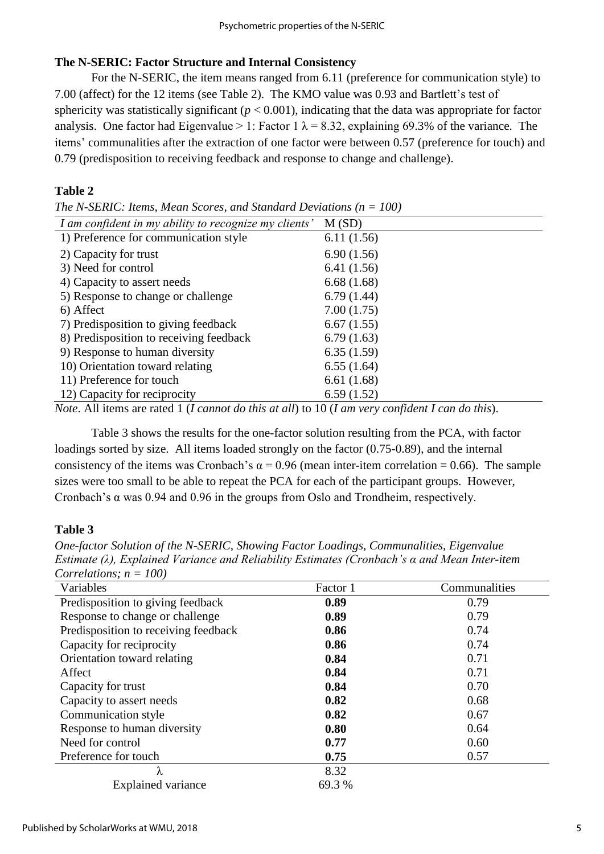# **The N-SERIC: Factor Structure and Internal Consistency**

For the N-SERIC, the item means ranged from 6.11 (preference for communication style) to 7.00 (affect) for the 12 items (see Table 2). The KMO value was 0.93 and Bartlett's test of sphericity was statistically significant  $(p < 0.001)$ , indicating that the data was appropriate for factor analysis. One factor had Eigenvalue > 1: Factor 1  $\lambda$  = 8.32, explaining 69.3% of the variance. The items' communalities after the extraction of one factor were between 0.57 (preference for touch) and 0.79 (predisposition to receiving feedback and response to change and challenge).

# **Table 2**

*The N-SERIC: Items, Mean Scores, and Standard Deviations (n = 100)*

| I am confident in my ability to recognize my clients' | M(SD)      |
|-------------------------------------------------------|------------|
| 1) Preference for communication style                 | 6.11(1.56) |
| 2) Capacity for trust                                 | 6.90(1.56) |
| 3) Need for control                                   | 6.41(1.56) |
| 4) Capacity to assert needs                           | 6.68(1.68) |
| 5) Response to change or challenge                    | 6.79(1.44) |
| 6) Affect                                             | 7.00(1.75) |
| 7) Predisposition to giving feedback                  | 6.67(1.55) |
| 8) Predisposition to receiving feedback               | 6.79(1.63) |
| 9) Response to human diversity                        | 6.35(1.59) |
| 10) Orientation toward relating                       | 6.55(1.64) |
| 11) Preference for touch                              | 6.61(1.68) |
| 12) Capacity for reciprocity                          | 6.59(1.52) |

*Note*. All items are rated 1 (*I cannot do this at all*) to 10 (*I am very confident I can do this*).

Table 3 shows the results for the one-factor solution resulting from the PCA, with factor loadings sorted by size. All items loaded strongly on the factor  $(0.75-0.89)$ , and the internal consistency of the items was Cronbach's  $\alpha$  = 0.96 (mean inter-item correlation = 0.66). The sample sizes were too small to be able to repeat the PCA for each of the participant groups. However, Cronbach's α was 0.94 and 0.96 in the groups from Oslo and Trondheim, respectively.

# **Table 3**

*One-factor Solution of the N-SERIC, Showing Factor Loadings, Communalities, Eigenvalue Estimate (λ), Explained Variance and Reliability Estimates (Cronbach's α and Mean Inter-item Correlations; n = 100)*

| Variables                            | Factor 1 | Communalities |
|--------------------------------------|----------|---------------|
| Predisposition to giving feedback    | 0.89     | 0.79          |
| Response to change or challenge      | 0.89     | 0.79          |
| Predisposition to receiving feedback | 0.86     | 0.74          |
| Capacity for reciprocity             | 0.86     | 0.74          |
| Orientation toward relating          | 0.84     | 0.71          |
| Affect                               | 0.84     | 0.71          |
| Capacity for trust                   | 0.84     | 0.70          |
| Capacity to assert needs             | 0.82     | 0.68          |
| Communication style                  | 0.82     | 0.67          |
| Response to human diversity          | 0.80     | 0.64          |
| Need for control                     | 0.77     | 0.60          |
| Preference for touch                 | 0.75     | 0.57          |
| λ                                    | 8.32     |               |
| <b>Explained variance</b>            | 69.3 %   |               |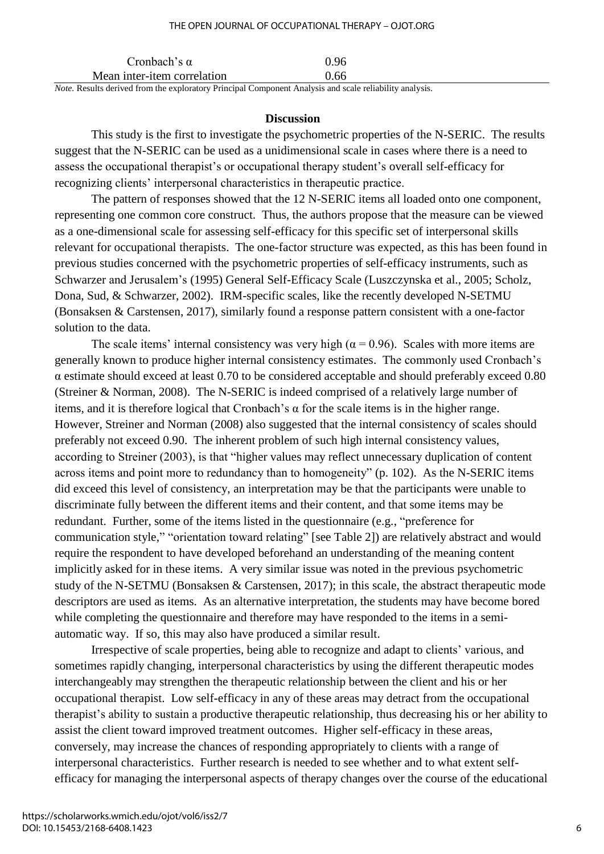#### THE OPEN JOURNAL OF OCCUPATIONAL THERAPY – OJOT.ORG

| Cronbach's $\alpha$         | 0.96 |  |
|-----------------------------|------|--|
| Mean inter-item correlation | 0.66 |  |

*Note.* Results derived from the exploratory Principal Component Analysis and scale reliability analysis.

#### **Discussion**

This study is the first to investigate the psychometric properties of the N-SERIC. The results suggest that the N-SERIC can be used as a unidimensional scale in cases where there is a need to assess the occupational therapist's or occupational therapy student's overall self-efficacy for recognizing clients' interpersonal characteristics in therapeutic practice.

The pattern of responses showed that the 12 N-SERIC items all loaded onto one component, representing one common core construct. Thus, the authors propose that the measure can be viewed as a one-dimensional scale for assessing self-efficacy for this specific set of interpersonal skills relevant for occupational therapists. The one-factor structure was expected, as this has been found in previous studies concerned with the psychometric properties of self-efficacy instruments, such as Schwarzer and Jerusalem's (1995) General Self-Efficacy Scale (Luszczynska et al., 2005; Scholz, Dona, Sud, & Schwarzer, 2002). IRM-specific scales, like the recently developed N-SETMU (Bonsaksen & Carstensen, 2017), similarly found a response pattern consistent with a one-factor solution to the data.

The scale items' internal consistency was very high ( $\alpha$  = 0.96). Scales with more items are generally known to produce higher internal consistency estimates. The commonly used Cronbach's α estimate should exceed at least 0.70 to be considered acceptable and should preferably exceed 0.80 (Streiner & Norman, 2008). The N-SERIC is indeed comprised of a relatively large number of items, and it is therefore logical that Cronbach's  $\alpha$  for the scale items is in the higher range. However, Streiner and Norman (2008) also suggested that the internal consistency of scales should preferably not exceed 0.90. The inherent problem of such high internal consistency values, according to Streiner (2003), is that "higher values may reflect unnecessary duplication of content across items and point more to redundancy than to homogeneity" (p. 102). As the N-SERIC items did exceed this level of consistency, an interpretation may be that the participants were unable to discriminate fully between the different items and their content, and that some items may be redundant. Further, some of the items listed in the questionnaire (e.g., "preference for communication style," "orientation toward relating" [see Table 2]) are relatively abstract and would require the respondent to have developed beforehand an understanding of the meaning content implicitly asked for in these items. A very similar issue was noted in the previous psychometric study of the N-SETMU (Bonsaksen & Carstensen, 2017); in this scale, the abstract therapeutic mode descriptors are used as items. As an alternative interpretation, the students may have become bored while completing the questionnaire and therefore may have responded to the items in a semiautomatic way. If so, this may also have produced a similar result.

Irrespective of scale properties, being able to recognize and adapt to clients' various, and sometimes rapidly changing, interpersonal characteristics by using the different therapeutic modes interchangeably may strengthen the therapeutic relationship between the client and his or her occupational therapist. Low self-efficacy in any of these areas may detract from the occupational therapist's ability to sustain a productive therapeutic relationship, thus decreasing his or her ability to assist the client toward improved treatment outcomes. Higher self-efficacy in these areas, conversely, may increase the chances of responding appropriately to clients with a range of interpersonal characteristics. Further research is needed to see whether and to what extent selfefficacy for managing the interpersonal aspects of therapy changes over the course of the educational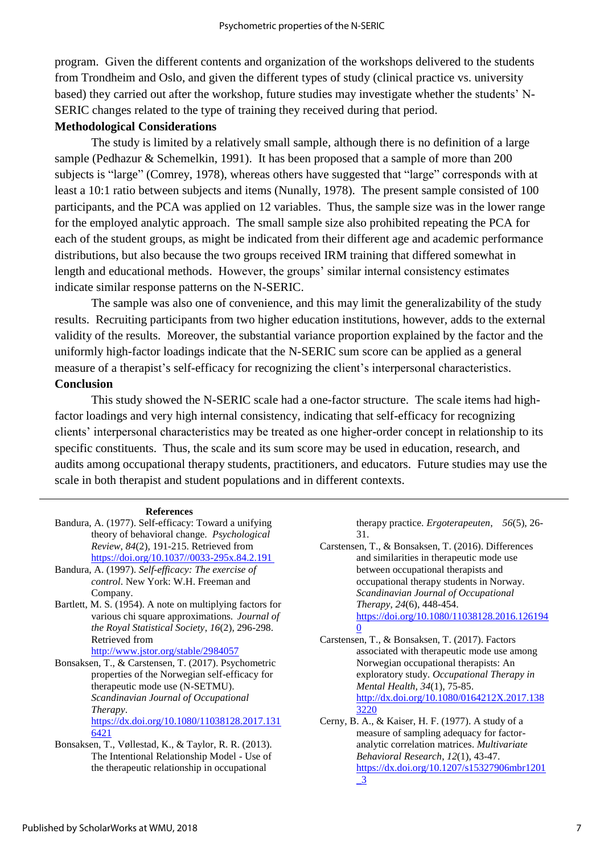program. Given the different contents and organization of the workshops delivered to the students from Trondheim and Oslo, and given the different types of study (clinical practice vs. university based) they carried out after the workshop, future studies may investigate whether the students' N-SERIC changes related to the type of training they received during that period.

#### **Methodological Considerations**

The study is limited by a relatively small sample, although there is no definition of a large sample (Pedhazur & Schemelkin, 1991). It has been proposed that a sample of more than 200 subjects is "large" (Comrey, 1978), whereas others have suggested that "large" corresponds with at least a 10:1 ratio between subjects and items (Nunally, 1978). The present sample consisted of 100 participants, and the PCA was applied on 12 variables. Thus, the sample size was in the lower range for the employed analytic approach. The small sample size also prohibited repeating the PCA for each of the student groups, as might be indicated from their different age and academic performance distributions, but also because the two groups received IRM training that differed somewhat in length and educational methods. However, the groups' similar internal consistency estimates indicate similar response patterns on the N-SERIC.

The sample was also one of convenience, and this may limit the generalizability of the study results. Recruiting participants from two higher education institutions, however, adds to the external validity of the results. Moreover, the substantial variance proportion explained by the factor and the uniformly high-factor loadings indicate that the N-SERIC sum score can be applied as a general measure of a therapist's self-efficacy for recognizing the client's interpersonal characteristics. **Conclusion**

This study showed the N-SERIC scale had a one-factor structure. The scale items had highfactor loadings and very high internal consistency, indicating that self-efficacy for recognizing clients' interpersonal characteristics may be treated as one higher-order concept in relationship to its specific constituents. Thus, the scale and its sum score may be used in education, research, and audits among occupational therapy students, practitioners, and educators. Future studies may use the scale in both therapist and student populations and in different contexts.

#### **References**

- Bandura, A. (1977). Self-efficacy: Toward a unifying theory of behavioral change. *Psychological Review*, *84*(2), 191-215. Retrieved from [https://doi.org/10.1037//0033-295x.84.2.191](https://doi.org/10.1037/0033-295x.84.2.191)
- Bandura, A. (1997). *Self-efficacy: The exercise of control*. New York: W.H. Freeman and Company.
- Bartlett, M. S. (1954). A note on multiplying factors for various chi square approximations. *Journal of the Royal Statistical Society*, *16*(2), 296-298. Retrieved from

<http://www.jstor.org/stable/2984057>

- Bonsaksen, T., & Carstensen, T. (2017). Psychometric properties of the Norwegian self-efficacy for therapeutic mode use (N-SETMU). *Scandinavian Journal of Occupational Therapy*. [https://dx.doi.org/10.1080/11038128.2017.131](https://doi.org/10.1080/11038128.2017.1316421) [6421](https://doi.org/10.1080/11038128.2017.1316421)
- Bonsaksen, T., Vøllestad, K., & Taylor, R. R. (2013). The Intentional Relationship Model - Use of the therapeutic relationship in occupational

therapy practice. *Ergoterapeuten*, *56*(5), 26- 31.

- Carstensen, T., & Bonsaksen, T. (2016). Differences and similarities in therapeutic mode use between occupational therapists and occupational therapy students in Norway. *Scandinavian Journal of Occupational Therapy*, *24*(6), 448-454. [https://doi.org/10.1080/11038128.2016.126194](https://doi.org/10.1080/11038128.2016.1261940) [0](https://doi.org/10.1080/11038128.2016.1261940)
- Carstensen, T., & Bonsaksen, T. (2017). Factors associated with therapeutic mode use among Norwegian occupational therapists: An exploratory study. *Occupational Therapy in Mental Health*, *34*(1), 75-85. [http://dx.doi.org/10.1080/0164212X.2017.138](http://dx.doi.org/10.1080/0164212X.2017.1383220) [3220](http://dx.doi.org/10.1080/0164212X.2017.1383220)

Cerny, B. A., & Kaiser, H. F. (1977). A study of a measure of sampling adequacy for factoranalytic correlation matrices. *Multivariate Behavioral Research*, *12*(1), 43-47. [https://dx.doi.org/10.1207/s15327906mbr1201](https://dx.doi.org/10.1207/s15327906mbr1201_3) [\\_3](https://dx.doi.org/10.1207/s15327906mbr1201_3)